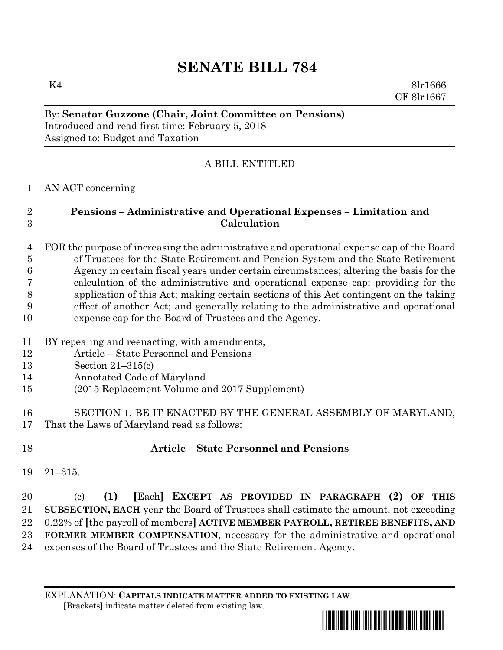# **SENATE BILL 784**

K4 8lr1666 CF 8lr1667

## By: **Senator Guzzone (Chair, Joint Committee on Pensions)** Introduced and read first time: February 5, 2018 Assigned to: Budget and Taxation

# A BILL ENTITLED

# AN ACT concerning

# **Pensions – Administrative and Operational Expenses – Limitation and Calculation**

### FOR the purpose of increasing the administrative and operational expense cap of the Board of Trustees for the State Retirement and Pension System and the State Retirement Agency in certain fiscal years under certain circumstances; altering the basis for the calculation of the administrative and operational expense cap; providing for the application of this Act; making certain sections of this Act contingent on the taking effect of another Act; and generally relating to the administrative and operational expense cap for the Board of Trustees and the Agency.

- BY repealing and reenacting, with amendments,
- Article State Personnel and Pensions
- Section 21–315(c)
- Annotated Code of Maryland
- (2015 Replacement Volume and 2017 Supplement)
- SECTION 1. BE IT ENACTED BY THE GENERAL ASSEMBLY OF MARYLAND, That the Laws of Maryland read as follows:
- 

# **Article – State Personnel and Pensions**

21–315.

# (c) **(1) [**Each**] EXCEPT AS PROVIDED IN PARAGRAPH (2) OF THIS SUBSECTION, EACH** year the Board of Trustees shall estimate the amount, not exceeding 0.22% of **[**the payroll of members**] ACTIVE MEMBER PAYROLL, RETIREE BENEFITS, AND FORMER MEMBER COMPENSATION**, necessary for the administrative and operational expenses of the Board of Trustees and the State Retirement Agency.

#### EXPLANATION: **CAPITALS INDICATE MATTER ADDED TO EXISTING LAW**.  **[**Brackets**]** indicate matter deleted from existing law.